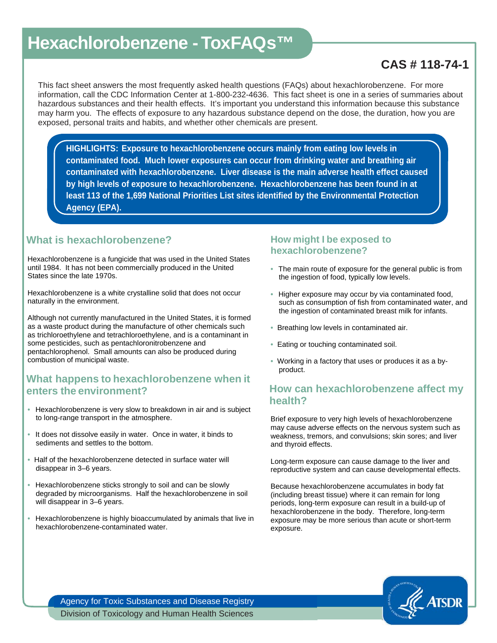# **Hexachlorobenzene - ToxFAQs™**

# **CAS # 118-74-1**

This fact sheet answers the most frequently asked health questions (FAQs) about hexachlorobenzene. For more information, call the CDC Information Center at 1-800-232-4636. This fact sheet is one in a series of summaries about hazardous substances and their health effects. It's important you understand this information because this substance may harm you. The effects of exposure to any hazardous substance depend on the dose, the duration, how you are exposed, personal traits and habits, and whether other chemicals are present.

**HIGHLIGHTS: Exposure to hexachlorobenzene occurs mainly from eating low levels in contaminated food. Much lower exposures can occur from drinking water and breathing air contaminated with hexachlorobenzene. Liver disease is the main adverse health effect caused by high levels of exposure to hexachlorobenzene. Hexachlorobenzene has been found in at least 113 of the 1,699 National Priorities List sites identified by the Environmental Protection Agency (EPA).** 

## **What is hexachlorobenzene?**

Hexachlorobenzene is a fungicide that was used in the United States until 1984. It has not been commercially produced in the United States since the late 1970s.

Hexachlorobenzene is a white crystalline solid that does not occur naturally in the environment.

Although not currently manufactured in the United States, it is formed as a waste product during the manufacture of other chemicals such as trichloroethylene and tetrachloroethylene, and is a contaminant in some pesticides, such as pentachloronitrobenzene and pentachlorophenol. Small amounts can also be produced during combustion of municipal waste.

## **What happens to hexachlorobenzene when it enters the environment?**

- Hexachlorobenzene is very slow to breakdown in air and is subject to long-range transport in the atmosphere.
- It does not dissolve easily in water. Once in water, it binds to sediments and settles to the bottom.
- Half of the hexachlorobenzene detected in surface water will disappear in 3–6 years.
- Hexachlorobenzene sticks strongly to soil and can be slowly degraded by microorganisms. Half the hexachlorobenzene in soil will disappear in 3–6 years.
- Hexachlorobenzene is highly bioaccumulated by animals that live in hexachlorobenzene-contaminated water.

#### **How might I be exposed to hexachlorobenzene?**

- The main route of exposure for the general public is from the ingestion of food, typically low levels.
- Higher exposure may occur by via contaminated food, such as consumption of fish from contaminated water, and the ingestion of contaminated breast milk for infants.
- Breathing low levels in contaminated air.
- Eating or touching contaminated soil.
- Working in a factory that uses or produces it as a byproduct.

# **How can hexachlorobenzene affect my health?**

Brief exposure to very high levels of hexachlorobenzene may cause adverse effects on the nervous system such as weakness, tremors, and convulsions; skin sores; and liver and thyroid effects.

Long-term exposure can cause damage to the liver and reproductive system and can cause developmental effects.

Because hexachlorobenzene accumulates in body fat (including breast tissue) where it can remain for long periods, long-term exposure can result in a build-up of hexachlorobenzene in the body. Therefore, long-term exposure may be more serious than acute or short-term exposure.



Agency for Toxic Substances and Disease Registry Division of Toxicology and Human Health Sciences